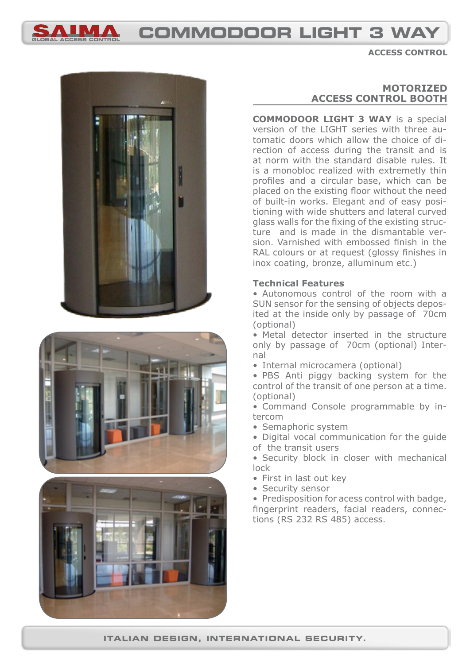

# **global access control commodoor light 3 way**

**access control**







## **motorized access control booth**

**COMMODOOR LIGHT 3 WAY** is a special version of the LIGHT series with three automatic doors which allow the choice of direction of access during the transit and is at norm with the standard disable rules. It is a monobloc realized with extremetly thin profiles and a circular base, which can be placed on the existing floor without the need of built-in works. Elegant and of easy positioning with wide shutters and lateral curved glass walls for the fixing of the existing structure and is made in the dismantable version. Varnished with embossed finish in the RAL colours or at request (glossy finishes in inox coating, bronze, alluminum etc.)

### **Technical Features**

• Autonomous control of the room with a SUN sensor for the sensing of objects deposited at the inside only by passage of 70cm (optional)

• Metal detector inserted in the structure only by passage of 70cm (optional) Internal

• Internal microcamera (optional)

• PBS Anti piggy backing system for the control of the transit of one person at a time. (optional)

• Command Console programmable by intercom

• Semaphoric system

• Digital vocal communication for the guide of the transit users

• Security block in closer with mechanical lock

- First in last out key
- Security sensor

• Predisposition for acess control with badge, fingerprint readers, facial readers, connections (RS 232 RS 485) access.